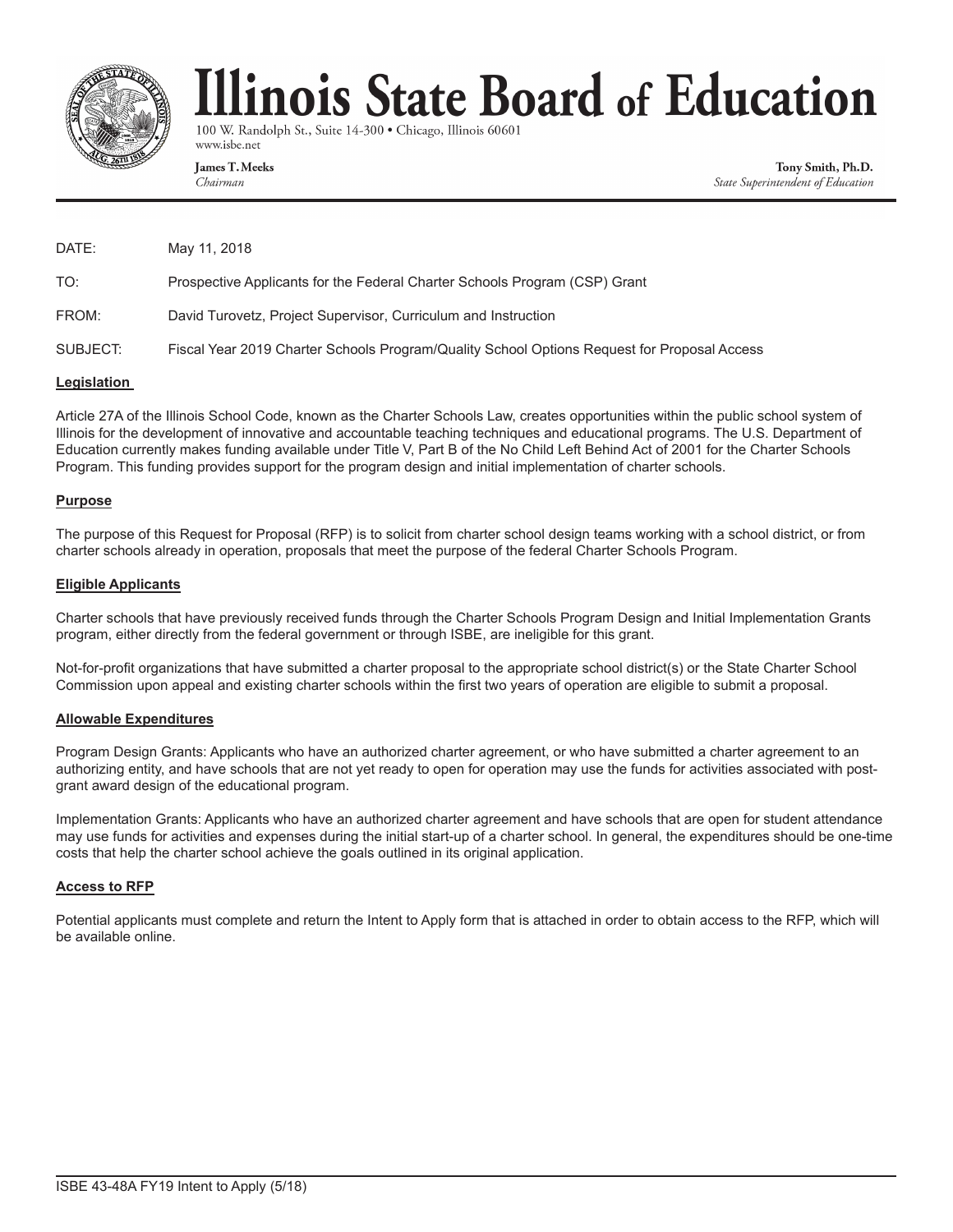

# linois State Board of Education

100 W. Randolph St., Suite 14-300 · Chicago, Illinois 60601 www.isbe.net

**James T. Meeks** Chairman

Tony Smith, Ph.D. State Superintendent of Education

| DATE:    | May 11, 2018                                                                                |
|----------|---------------------------------------------------------------------------------------------|
| TO:      | Prospective Applicants for the Federal Charter Schools Program (CSP) Grant                  |
| FROM:    | David Turovetz, Project Supervisor, Curriculum and Instruction                              |
| SUBJECT: | Fiscal Year 2019 Charter Schools Program/Quality School Options Request for Proposal Access |

#### **Legislation**

Article 27A of the Illinois School Code, known as the Charter Schools Law, creates opportunities within the public school system of Illinois for the development of innovative and accountable teaching techniques and educational programs. The U.S. Department of Education currently makes funding available under Title V, Part B of the No Child Left Behind Act of 2001 for the Charter Schools Program. This funding provides support for the program design and initial implementation of charter schools.

#### **Purpose**

The purpose of this Request for Proposal (RFP) is to solicit from charter school design teams working with a school district, or from charter schools already in operation, proposals that meet the purpose of the federal Charter Schools Program.

#### **Eligible Applicants**

Charter schools that have previously received funds through the Charter Schools Program Design and Initial Implementation Grants program, either directly from the federal government or through ISBE, are ineligible for this grant.

Not-for-profit organizations that have submitted a charter proposal to the appropriate school district(s) or the State Charter School Commission upon appeal and existing charter schools within the first two years of operation are eligible to submit a proposal.

#### **Allowable Expenditures**

Program Design Grants: Applicants who have an authorized charter agreement, or who have submitted a charter agreement to an authorizing entity, and have schools that are not yet ready to open for operation may use the funds for activities associated with postgrant award design of the educational program.

Implementation Grants: Applicants who have an authorized charter agreement and have schools that are open for student attendance may use funds for activities and expenses during the initial start-up of a charter school. In general, the expenditures should be one-time costs that help the charter school achieve the goals outlined in its original application.

#### **Access to RFP**

Potential applicants must complete and return the Intent to Apply form that is attached in order to obtain access to the RFP, which will be available online.